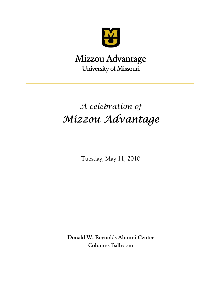

# Mizzou Advantage University of Missouri

# *A celebration of Mizzou Advantage*

Tuesday, May 11, 2010

**Donald W. Reynolds Alumni Center Columns Ballroom**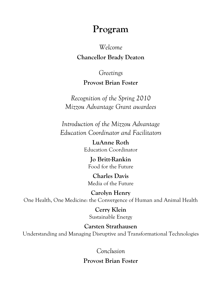# **Program**

# *Welcome*

# **Chancellor Brady Deaton**

*Greetings* 

# **Provost Brian Foster**

*Recognition of the Spring 2010 Mizzou Advantage Grant awardees*

*Introduction of the Mizzou Advantage Education Coordinator and Facilitators* 

> **LuAnne Roth**  Education Coordinator

**Jo Britt-Rankin**  Food for the Future

**Charles Davis**  Media of the Future

**Carolyn Henry**  One Health, One Medicine: the Convergence of Human and Animal Health

> **Cerry Klein**  Sustainable Energy

**Carsten Strathausen**  Understanding and Managing Disruptive and Transformational Technologies

*Conclusion* 

**Provost Brian Foster**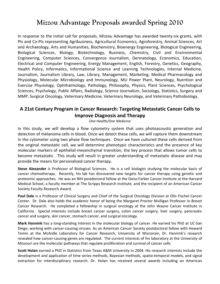# **Mizzou Advantage Proposals awarded Spring 2010**

In response to the initial call for proposals, Mizzou Advantage has awarded twenty‐six grants, with PIs and Co‐PIs representing Agribusiness, Agricultural Economics, Agroforestry, Animal Sciences, Art and Archaeology, Arts and Humanities, Biochemistry, Bioenergy Engineering, Biological Engineering, Biological Sciences, Biology, Biotechnology, Business, Chemistry, Civil and Environmental Engineering, Computer Sciences, Convergence Journalism, Dermatology, Economics, Education, Electrical and Computer Engineering, Energy Management, English, Forestry, Genetics, Geography, Health Policy, Informatics, Informational Science and Learning Technologies, Internal Medicine, Journalism, Journalism Library, Law, Library, Management, Marketing, Medical Pharmacology and Physiology, Molecular Microbiology and Immunology, MU Power Plant, Neurology, Nutrition and Exercise Physiology, Ophthalmology, Pathology, Philosophy, Physics, Plant Sciences, Psychological Sciences, Psychology, Public Affairs, Radiology, Science Journalism, Sociology, Statistics, Surgery and MMP, Surgical Oncology, Veterinary Medicine, Veterinary Neurology, and Veterinary Pathobiology.

## **A 21st Century Program in Cancer Research: Targeting Metastatic Cancer Cells to Improve Diagnosis and Therapy**

*One Health/One Medicine*

In this study, we will develop a flow cytometry system that uses photoacoustic generation and detection of melanoma cells in blood. Once we detect these cells, we will capture them downstream in the cytometer using two phase flow techniques. Once we have cultured these cells derived from the original metastatic cell, we will determine phenotypic characteristics and the presence of key molecular markers of epithelial‐mesenchymal transition, the key process that allows tumor cells to become metastatic. This study will result in greater understanding of metastatic disease and may provide the means for personalized cancer therapy.

**Steve Alexander** is Professor of Biological Sciences. He is a cell biologist studying the molecular basis of cancer chemotherapy. Recently, his lab has discovered new targets for cancer therapy using genetic and proteomic approaches. He was an NIH postdoctoral fellow at the Dana‐Farber Cancer Institute at the Harvard Medical School, a faculty member at The Scripps Research Institute, and the recipient of an American Cancer Society Faculty Research Award.

**Paul Dale** is a Professor of Clinical Surgery and Chief of the Surgical Oncology Division at Ellis Fischel Cancer Center. Dr. Dale also holds the academic honor of being the Margaret Proctor Mulligan Professor in Breast Cancer Research. He completed a fellowship in surgical oncology at the John Wayne Cancer Institute in California. Special interests include breast cancer surgery, colon cancer surgery, liver surgery, pancreatic cancer and surgery, skin cancer, stomach cancer, and surgical oncology.

**Mark Hannink** has a long‐standing interest in the molecular biology of cancer. He earned his PhD at UC‐San Diego, working with cancer‐causing viruses. As an American Cancer Society postdoctoral fellow with Howard Temin at the McArdle Laboratory for Cancer Research, University of Wisconsin, Dr. Hannink's research revealed how cancer‐causing genes are regulated. The current interests of his laboratory at the University of Missouri are the molecular pathways that regulate proliferation and survival of cancer cells.

**Scott Holan** earned a PhD in Statistics from Texas A&M University in 2004. His research interests include the development and application of time series methods, Bayesian methods, spatio‐temporal models, and signal extraction for interdisciplinary research. Dr. Holan has received several awards including an American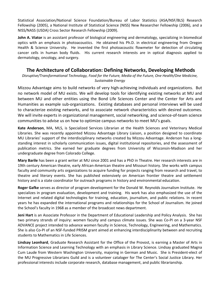Statistical Association/National Science Foundation/Bureau of Labor Statistics (ASA/NSF/BLS) Research Fellowship (2005), a National Institute of Statistical Science (NISS) New Researcher Fellowship (2006), and a NISS/NASS (USDA) Cross Sector Research Fellowship (2009).

**John A. Viator** is an assistant professor of biological engineering and dermatology, specializing in biomedical optics with an emphasis in photoacoustics. He obtained his Ph.D. in electrical engineering from Oregon Health & Science University. He invented the first photoacoustic flowmeter for detection of circulating cancer cells in human body fluids. His current research interests are in optical diagnosis applied to dermatology, oncology, and surgery.

#### **The Architecture of Collaboration: Defining Networks, Developing Methods**

*Disruptive/Transformational Technology, Food for the Future, Media of the Future, One Health/One Medicine, Sustainable Energy*

Mizzou Advantage aims to build networks of very high‐achieving individuals and organizations. But no network model of MU exists. We will develop tools for identifying existing networks at MU and between MU and other entities using the Bond Life Sciences Center and the Center for Arts and Humanities as example sub‐organizations. Existing databases and personal interviews will be used to characterize existing networks, and to associate network characteristics with desired outcomes. We will invite experts in organizational management, social networking, and science-of-team science communities to advise us on how to optimize campus networks to meet MU's goals.

**Kate Anderson**, MA, MLS, is Specialized Services Librarian at the Health Sciences and Veterinary Medical Libraries. She was recently appointed Mizzou Advantage Library Liaison, a position designed to coordinate MU Libraries' support of the interdisciplinary networks created by Mizzou Advantage. Anderson has a long‐ standing interest in scholarly communication issues, digital institutional repositories, and the assessment of publication metrics. She earned her graduate degrees from University of Wisconsin‐Madison and her undergraduate degree from Colorado College.

**Mary Barile** has been a grant writer at MU since 2001 and has a PhD in Theatre. Her research interests are in 19th century American theatre, early African-American theatre and Missouri history. She works with campus faculty and community arts organizations to acquire funding for projects ranging from research and travel, to theatre and literary events. She has published extensively on American frontier theatre and settlement history and is a state coordinator for outreach programs in history and environmental education.

**Roger Gafke** serves as director of program development for the Donald W. Reynolds Journalism Institute. He specializes in program evaluation, development and training. His work has also emphasized the use of the Internet and related digital technologies for training, education, journalism, and public relations. In recent years he has expanded the international programs and relationships for the School of Journalism. He joined the School's faculty in 1968 as a member of the broadcast news department.

**Jeni Hart** is an Associate Professor in the Department of Educational Leadership and Policy Analysis. She has two primary strands of inquiry: women faculty and campus climate issues. She was Co‐PI on a 3‐year NSF ADVANCE project intended to advance women faculty in Science, Technology, Engineering, and Mathematics. She is also Co‐PI of an NSF‐funded PRISM grant aimed at enhancing interdisciplinarity between and recruiting students to Mathematics in Life Sciences.

**Lindsay Leonhard**, Graduate Research Assistant for the Office of the Provost, is earning a Master of Arts in Information Science and Learning Technology with an emphasis in Library Science. Lindsay graduated Magna Cum Laude from Western Washington University, majoring in German and Music. She is President‐elect of the MU Progressive Librarians Guild and is a volunteer cataloger for The Center's Social Justice Library. Her professional interests include corporate research, database management, and public librarianship.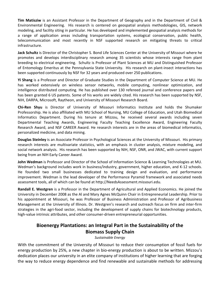**Tim Matisziw** is an Assistant Professor in the Department of Geography and in the Department of Civil & Environmental Engineering. His research is centered on geospatial analysis methodologies, GIS, network modeling, and facility siting in particular. He has developed and implemented geospatial analysis methods for a range of application areas including transportation systems, ecological conservation, public health, telecommunication and most recently in NSF supported research on mitigating threats to critical infrastructure.

**Jack Schultz** is Director of the Christopher S. Bond Life Sciences Center at the University of Missouri where he promotes and develops interdisciplinary research among 35 scientists whose interests range from plant breeding to electrical engineering. Schultz is Professor of Plant Sciences at MU and Distinguished Professor of Entomology Emeritus at the Pennsylvania State University. His research on plant‐insect interactions has been supported continuously by NSF for 32 years and produced over 250 publications.

**Yi Shang** is a Professor and Director of Graduate Studies in the Department of Computer Science at MU. He has worked extensively on wireless sensor networks, mobile computing, nonlinear optimization, and intelligence distributed computing. He has published over 130 refereed journal and conference papers and has been granted 6 US patents. Some of his works are widely cited. His research has been supported by NSF, NIH, DARPA, Microsoft, Raytheon, and University of Missouri Research Board.

**Chi‐Ren Shyu** is Director of University of Missouri Informatics Institute and holds the Shumaker Professorship. He is also affiliated with MU School of Nursing, MU College of Education, and Utah Biomedical Informatics Department. During his tenure at Mizzou, he received several awards including seven Departmental Teaching Awards, Engineering Faculty Teaching Excellence Award, Engineering Faculty Research Award, and NSF CAREER Award. He research interests are in the areas of biomedical informatics, personalized medicine, and data mining.

**Douglas Steinley** is an Associate Professor in Psychological Sciences at the University of Missouri. His primary research interests are multivariate statistics, with an emphasis in cluster analysis, mixture modeling, and social network analysis. His research has been supported by NIH, NSF, ONR, and JWAC, with current support being from an NIH Early Career Award.

**John Wedman** is Professor and Director of the School of Information Science & Learning Technologies at MU. Wedman's background includes work in business/industry, government, higher education, and K‐12 schools. He founded two small businesses dedicated to training design and evaluation, and performance improvement. Wedman is the lead developer of the Performance Pyramid framework and associated needs assessment tools, all of which can be found at http://NeedsAssessment.missouri.edu.

**Randall E. Westgren** is a Professor in the Department of Agricultural and Applied Economics. He joined the University in December 2008 as the Al and Mary Agnes McQuinn Chair in Entrepreneurial Leadership. Prior to his appointment at Missouri, he was Professor of Business Administration and Professor of Agribusiness Management at the University of Illinois. Dr. Westgren's research and outreach focus on firm and inter‐firm strategies in the agri-food sector, including the development of supply chains for biotechnology products, high-value intrinsic attributes, and other consumer-driven entrepreneurial opportunities.

# **Bioenergy Plantations: an Integral Part in the Sustainability of the Biomass Supply Chain**

*Sustainable Energy*

With the commitment of the University of Missouri to reduce their consumption of fossil fuels for energy production by 25%, a new chapter in bio-energy production is about to be written. Mizzou's dedication places our university in an elite company of institutions of higher learning that are forging the way to reduce energy dependence and find renewable and sustainable methods for addressing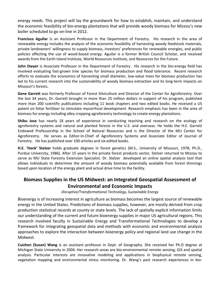energy needs. This project will lay the groundwork for how to establish, maintain, and understand the economic feasibility of bio-energy plantations that will provide woody biomass for Mizzou's new boiler scheduled to go on‐line in 2012.

**Francisco Aguilar** is an Assistant Professor in the Department of Forestry. His research in the area of renewable energy includes the analysis of the economic feasibility of harvesting woody feedstock materials, private landowners' willingness to supply biomass, investors' preferences for renewable energies, and public policies affecting the use of wood‐based energy. Aguilar is a former British Council Scholar, and received awards from the Earth Island Institute, World Resources Institute, and Resources for the Future.

**John Dwyer** is Associate Professor in the Department of Forestry. His research in the bio-energy field has involved evaluating fast-grown tree species for biomass production and flood tolerance. Recent research efforts to evaluate the economics of harvesting small diameter, low‐value trees for biomass production has led to his current research into the sustainability of woody biomass extraction and its long‐term impacts on Missouri's forests.

**Gene Garrett** was formerly Professor of Forest Silviculture and Director of the Center for Agroforestry. Over the last 34 years, Dr. Garrett brought in more than 25 million dollars in support of his program, published more than 200 scientific publications including 11 book chapters and two edited books. He received a US patent on foliar fertilizer to stimulate mycorrhizal development. Research emphasis has been in the area of biomass for energy including alley cropping agroforestry technology to create energy plantations.

**Shibu Jose** has nearly 18 years of experience in conducting teaching and research on the ecology of agroforestry systems and natural and planted forests in the U.S. and overseas. He holds the H.E. Garrett Endowed Professorship in the School of Natural Resources and is the Director of the MU Center for Agroforestry. He serves as Editor-In-Chief of Agroforestry Systems and Associate Editor of Journal of Forestry. He has published over 100 articles and six edited books.

**H.E. 'Hank' Stelzer** holds graduate degrees in forest genetics (M.S., University of Missouri, 1978; Ph.D., Purdue University, 1986). After 15 years in the private forest products sector, Stelzer returned to Mizzou to serve as MU State Forestry Extension Specialist. Dr. Stelzer developed an online spatial analysis tool that allows individuals to determine the amount of woody biomass potentially available from forest thinnings based upon location of the energy plant and actual drive time to the facility.

# **Biomass Supplies in the US Midwest: an Integrated Geospatial Assessment of Environmental and Economic Impacts**

*Disruptive/Transformational Technology, Sustainable Energy*

Bioenergy is of increasing interest in agriculture as biomass becomes the largest source of renewable energy in the United States. Predictions of biomass supplies, however, are mostly derived from crop production statistical records at county or state levels. The lack of spatially explicit information limits our understanding of the current and future bioenergy supplies in major US agricultural regions. This research involved faculty in Sustainable Energy and Transformational Technologies to develop a framework for integrating geospatial data and methods with economic and environmental analysis approaches to explore the interaction between bioenergy policy and regional land use change in the Midwest.

**Cuizhen (Susan) Wang** is an assistant professor in Dept. of Geography. She received her Ph.D degree at Michigan State University in 2004. Her research areas are bio‐environmental remote sensing, GIS and spatial analysis. Particular interests are innovative modeling and applications in biophysical remote sensing, vegetation mapping and environmental stress monitoring. Dr. Wang's past research experiences in bio‐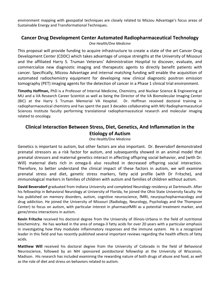environment mapping with geospatial techniques are closely related to Mizzou Advantage's focus areas of Sustainable Energy and Transformational Techniques.

#### **Cancer Drug Development Center Automated Radiopharmaceutical Technology** *One Health/One Medicine*

This proposal will provide funding to acquire infrastructure to create a state of the art Cancer Drug Development Center (CDDC) which takes advantage of unique strengths at the University of Missouri and the affiliated Harry S. Truman Veterans' Administration Hospital to discover, evaluate, and commercialize new diagnostic imaging and therapeutic agents to directly benefit patients with cancer. Specifically, Mizzou Advantage and internal matching funding will enable the acquisition of automated radiochemistry equipment for developing new clinical diagnostic positron emission tomography (PET) imaging agents for the detection of cancer in a Phase 1 clinical trial environment.

**Timothy Hoffman,** PhD is a Professor of Internal Medicine, Chemistry, and Nuclear Science & Engineering at MU and a VA Research Career Scientist as well as being the Director of the VA Biomolecular Imaging Center (BIC) at the Harry S Truman Memorial VA Hospital. Dr. Hoffman received doctoral training in radiopharmaceutical chemistry and has spent the past 3 decades collaborating with MU Radiopharmaceutical Sciences Institute faculty performing translational radiopharmaceutical research and molecular imaging related to oncology.

## **Clinical Interaction Between Stress, Diet, Genetics, And Inflammation in the Etiology of Autism**

#### *One Health/One Medicine*

Genetics is important to autism, but other factors are also important. Dr. Beversdorf demonstrated prenatal stressors as a risk factor for autism, and subsequently showed in an animal model that prenatal stressors and maternal genetics interact in affecting offspring social behavior, and (with Dr. Will) maternal diets rich in omega-6 also resulted in decreased offspring social interaction. Therefore, to better understand the clinical impact of these factors in autism, we will examine prenatal stress and diet, genetic stress markers, fatty acid profile (with Dr Fritsche), and immunological markers in families of children with autism and families of children without autism.

**David Beversdorf** graduated from Indiana University and completed Neurology residency at Dartmouth. After his fellowship in Behavioral Neurology at University of Florida, he joined the Ohio State University faculty. He has published on memory disorders, autism, cognitive neuroscience, fMRI, neurpsychopharmacology and drug addiction. He joined the University of Missouri (Radiology, Neurology, Psychology and the Thompson Center) to focus on autism, with particular interest in pharmacofMRI as a potential treatment marker, and gene/stress interactions in autism.

**Kevin Fritsche** received his doctoral degree from the University of Illinois‐Urbana in the field of nutritional biochemistry. He has worked in the area of omega‐3 fatty acids for over 20 years with a particular emphasis in investigating how they modulate inflammatory responses and the immune system. He is a recognized leader in this field and has recently published several important reviews regarding the health effects of fatty acids.

**Matthew Will** received his doctoral degree from the University of Colorado in the field of Behavioral Neuroscience, followed by an NIH sponsored postdoctoral fellowship at the University of Wisconsin, Madison. His research has included examining the rewarding nature of both drugs of abuse and food, as well as the role of diet and stress on behaviors related to autism.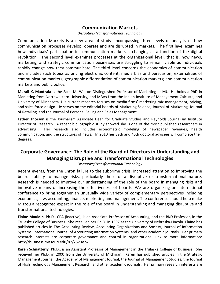#### **Communication Markets**

#### *Disruptive/Transformational Technology*

Communication Markets is a new area of study encompassing three levels of analysis of how communication processes develop, operate and are disrupted in markets. The first level examines how individuals' participation in communication markets is changing as a function of the digital revolution. The second level examines processes at the organizational level, that is, how news, marketing, and strategic communication businesses are struggling to remain viable as individuals rapidly change how they communicate. The third level concerns the economics of communication and includes such topics as pricing electronic content, media bias and persuasion; externalities of communication markets; geographic differentiation of communication markets; and communication markets and public policy.

**Murali K. Mantrala** is the Sam. M. Walton Distinguished Professor of Marketing at MU. He holds a PhD in Marketing from Northwestern University, and MBAs from the Indian Institute of Management Calcutta, and University of Minnesota. His current research focuses on media firms' marketing mix management, pricing, and sales force design. He serves on the editorial boards of Marketing Science, Journal of Marketing, Journal of Retailing, and the Journal of Personal Selling and Sales Management.

**Esther Thorson** is the Journalism Associate Dean for Graduate Studies and Reynolds Journalism Institute Director of Research. A recent bibliographic study showed she is one of the most published researchers in advertising. Her research also includes econometric modeling of newspaper revenues, health communication, and the structures of news. In 2010 her 39th and 40th doctoral advisees will complete their degrees.

# **Corporate Governance: The Role of the Board of Directors in Understanding and Managing Disruptive and Transformational Technologies**

*Disruptive/Transformational Technology*

Recent events, from the Enron failure to the subprime crisis, increased attention to improving the board's ability to manage risks, particularly those of a disruptive or transformational nature. Research is needed to improve our understanding of the role of the board in managing risks and innovative means of increasing the effectiveness of boards. We are organizing an international conference to bring together an unusually wide variety of complementary perspectives including economics, law, accounting, finance, marketing and management. The conference should help make Mizzou a recognized expert in the role of the board in understanding and managing disruptive and transformational technologies.

**Elaine Mauldin**, Ph.D., CPA (inactive), is an Associate Professor of Accounting, and the BKD Professor, in the Trulaske College of Business. She received her Ph.D. in 1997 at the University of Nebraska‐Lincoln. Elaine has published articles in The Accounting Review, Accounting Organizations and Society, Journal of Information Systems, International Journal of Accounting Information Systems, and other academic journals. Her primary research interests are corporate governance and control in organizations. Link to more information: http://business.missouri.edu/87/252.aspx.

**Karen Schnatterly**, Ph.D., is an Assistant Professor of Management in the Trulaske College of Business. She received her Ph.D. in 2000 from the University of Michigan. Karen has published articles in the Strategic Management Journal, the Academy of Management Journal, the Journal of Management Studies, the Journal of High Technology Management Research, and other academic journals. Her primary research interests are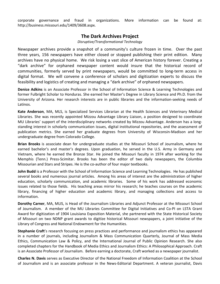corporate governance and fraud in organizations. More information can be found at: http://business.missouri.edu/1409/3608.aspx.

#### **The Dark Archives Project**

*Disruptive/Transformational Technology*

Newspaper archives provide a snapshot of a community's culture frozen in time. Over the past three years, 156 newspapers have either closed or stopped publishing their print edition. Many archives have no physical home. We risk losing a vast slice of American history forever. Creating a "dark archive" for orphaned newspaper content would insure that the historical record of communities, formerly served by print newspapers, would be committed to long‐term access in digital format. We will convene a conference of scholars and digitization experts to discuss the feasibility and logistics of creating and managing a "dark archive" of orphaned newspapers.

**Denice Adkins** is an Associate Professor in the School of Information Science & Learning Technologies and former Fulbright Scholar to Honduras. She earned her Master's Degree in Library Science and Ph.D. from the University of Arizona. Her research interests are in public libraries and the information‐seeking needs of Latinos.

**Kate Anderson**, MA, MLS, is Specialized Services Librarian at the Health Sciences and Veterinary Medical Libraries. She was recently appointed Mizzou Advantage Library Liaison, a position designed to coordinate MU Libraries' support of the interdisciplinary networks created by Mizzou Advantage. Anderson has a long‐ standing interest in scholarly communication issues, digital institutional repositories, and the assessment of publication metrics. She earned her graduate degrees from University of Wisconsin‐Madison and her undergraduate degree from Colorado College.

**Brian Brooks** is associate dean for undergraduate studies at the Missouri School of Journalism, where he earned bachelor's and master's degrees. Upon graduation, he served in the U.S. Army in Germany and Vietnam, where he earned the Bronze Star. He joined the Missouri faculty in 1974 after working for the Memphis (Tenn.) Press‐Scimitar. Brooks has been the editor of two daily newspapers, the Columbia Missourian and Stars and Stripes. He is the co-author of four major textbooks.

**John Budd** is a Professor with the School of Information Science and Learning Technologies. He has published several books and numerous journal articles. Among his areas of interest are the administration of higher education, scholarly communication, and academic libraries. Some of his work has addressed economic issues related to those fields. His teaching areas mirror his research; he teaches courses on the academic library, financing of higher education and academic library, and managing collections and access to information.

**Dorothy Carner**, MA, MLIS, is Head of the Journalism Libraries and Adjunct Professor at the Missouri School of Journalism. A member of the MU Libraries Committee for Digital Initiatives and Co-PI on LSTA Grant Award for digitization of 1904 Louisiana Exposition Material, she partnered with the State Historical Society of Missouri on two NDNP grant awards to digitize historical Missouri newspapers, a joint initiative of the Library of Congress and National Endowment for the Humanities.

**Stephanie Craft**'s research focusing on press practices and performance and journalism ethics has appeared in a number of journals, including Journalism & Mass Communication Quarterly, Journal of Mass Media Ethics, Communication Law & Policy, and the International Journal of Public Opinion Research. She also completed chapters for the Handbook of Media Ethics and Journalism Ethics: A Philosophical Approach. Craft is an Associate Professor of Journalism. Before earning a doctorate, Craft worked as a newspaper journalist.

**Charles N. Davis** serves as Executive Director of the National Freedom of Information Coalition at the School of Journalism and is an associate professor in the News‐Editorial Department. A veteran journalist, Davis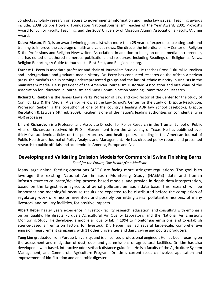conducts scholarly research on access to governmental information and media law issues. Teaching awards include: 2008 Scripps Howard Foundation National Journalism Teacher of the Year Award, 2001 Provost's Award for Junior Faculty Teaching, and the 2008 University of Missouri Alumni Association's Faculty/Alumni Award.

**Debra Mason**, PhD, is an award‐winning journalist with more than 25 years of experience creating tools and training to improve the coverage of faith and values news. She directs the interdisciplinary Center on Religion & the Professions and Religion Newswriters Association. In addition to being an online media entrepreneur, she has edited or authored numerous publications and resources, including Readings on Religion as News, Religion Reporting: A Guide to Journalist's Best Beat, and ReligionLInk.org.

**Earnest L. Perry** is associate professor and chair of Journalism Studies. He teaches Cross Cultural Journalism and undergraduate and graduate media history. Dr. Perry has conducted research on the African‐American press, the media's role in serving underrepresented groups and the lack of ethnic minority journalists in the mainstream media. He is president of the American Journalism Historians Association and vice chair of the Association for Education in Journalism and Mass Communication Standing Committee on Research.

**Richard C. Reuben** is the James Lewis Parks Professor of Law and co‐director of the Center for the Study of Conflict, Law & the Media. A Senior Fellow at the Law School's Center for the Study of Dispute Resolution, Professor Reuben is the co-author of one of the country's leading ADR law school casebooks, Dispute Resolution & Lawyers (4th ed. 2009). Reuben is one of the nation's leading authorities on confidentiality in ADR processes.

**Lilliard Richardson** is a Professor and Associate Director for Policy Research in the Truman School of Public Affairs. Richardson received his PhD in Government from the University of Texas. He has published over thirty‐five academic articles on the policy process and health policy, including in the American Journal of Public Health and Journal of Policy Analysis and Management. He has directed policy reports and presented research to public officials and academics in America, Europe and Asia.

## **Developing and Validating Emission Models for Commercial Swine Finishing Barns**

*Food for the Future, One Health/One Medicine*

Many large animal feeding operations (AFOs) are facing more stringent regulations. The goal is to leverage the existing National Air Emission Monitoring Study (NAEMS) data and human infrastructure to calibrate/develop process‐based models, and provide in‐depth data interpretation, based on the largest ever agricultural aerial pollutant emission data base. This research will be important and meaningful because results are expected to be distributed before the completion of regulatory work of emission inventory and possibly permitting aerial pollutant emissions, of many livestock and poultry facilities, for positive impacts.

**Albert Heber** has 24 years experience in livestock facility research, education, and consulting with emphasis on air quality. He directs Purdue's Agricultural Air Quality Laboratory, and the National Air Emissions Monitoring Study. He developed a mobile air quality lab in 1994 to monitor gas emissions, and to establish science‐based air emission factors for livestock. Dr. Heber has led several large‐scale, comprehensive emission measurement campaigns with 11 other universities and dairy, swine and poultry producers.

**Teng Lim** graduated from Purdue University, and is a licensed professional engineer. He has been focusing on the assessment and mitigation of dust, odor and gas emissions of agricultural facilities. Dr. Lim has also developed a web‐based, interactive odor‐setback distance guideline. He is a faculty of the Agriculture System Management, and Commercial Agriculture Program. Dr. Lim's current research involves application and improvement of bio-filtration and anaerobic digester.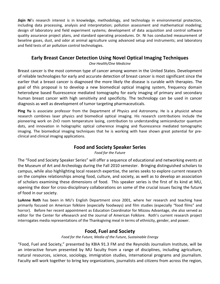**Jiqin Ni**'s research interest is in knowledge, methodology, and technology in environmental protection, including data processing, analysis and interpretation; pollution assessment and mathematical modeling; design of laboratory and field experiment systems; development of data acquisition and control software quality assurance project plans, and standard operating procedures. Dr. Ni has conducted measurement of beseline gases, dust, and odor at animal agriculture using advanced setup and instruments; and laboratory and field tests of air pollution control technologies.

## **Early Breast Cancer Detection Using Novel Optical Imaging Techniques**

*One Health/One Medicine*

Breast cancer is the most common type of cancer among women in the United States. Development of reliable technologies for early and accurate detection of breast cancer is most significant since the earlier that a breast cancer is diagnosed the more likely the disease is curable with therapies. The goal of this proposal is to develop a new biomedical optical imaging system, frequency domain heterodyne based fluorescence mediated tomography for early imaging of primary and secondary human breast cancer with high sensitivity and specificity. The technology can be used in cancer diagnosis as well as development of tumor targeting pharmaceuticals.

**Ping Yu** is associate professor from the Department of Physics and Astronomy. He is a physicist whose research combines laser physics and biomedical optical imaging. His research contributions include the pioneering work on ZnO room temperature lasing, contribution to understanding semiconductor quantum dots, and innovation in holographic optical coherence imaging and fluorescence mediated tomographic imaging. The biomedical imaging techniques that he is working with have shown great potential for pre‐ clinical and clinical imaging applications.

## **Food and Society Speaker Series**

*Food for the Future*

The "Food and Society Speaker Series" will offer a sequence of educational and networking events at the Museum of Art and Archeology during the Fall 2010 semester. Bringing distinguished scholars to campus, while also highlighting local research expertise, the series seeks to explore current research on the complex relationships among food, culture, and society, as well as to develop an association of scholars examining these dimensions of food. This speaker series is the first of its kind at MU, opening the door for cross‐disciplinary collaborations on some of the crucial issues facing the future of food in our society.

**LuAnne Roth** has been in MU's English Department since 2001, where her research and teaching have primarily focused on American folklore (especially foodways) and film studies (especially "food films" and horror). Before her recent appointment as Education Coordinator for Mizzou Advantage, she also served as editor for the Center for eResearch and the Journal of American Folklore. Roth's current research project interrogates media representations of the Thanksgiving meal in terms of ethnicity, gender, and power.

## **Food, Fuel and Society**

*Food for the Future, Media of the Future, Sustainable Energy*

"Food, Fuel and Society," presented by KBIA 91.3 FM and the Reynolds Journalism Institute, will be an interactive forum presented by MU faculty from a range of disciplines, including agriculture, natural resources, science, sociology, immigration studies, international programs and journalism. Faculty will work together to bring key organizations, journalists and citizens from across the region,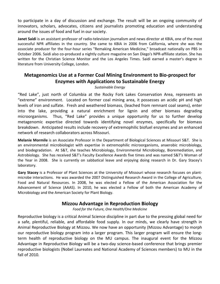to participate in a day of discussion and exchange. The result will be an ongoing community of innovators, scholars, advocates, citizens and journalists promoting education and understanding around the issues of food and fuel in our society.

**Janet Saidi** is an assistant professor of radio‐television journalism and news director at KBIA, one of the most successful NPR affiliates in the country. She came to KBIA in 2006 from California, where she was the associate producer for the four‐hour series "Remaking American Medicine," broadcast nationally on PBS in October 2006. Saidi also co‐produced a nightly culture magazine on San Diego's NPR‐affiliate station. She has written for the Christian Science Monitor and the Los Angeles Times. Saidi earned a master's degree in literature from University College, London.

# **Metagenomics Use at a Former Coal Mining Environment to Bio‐prospect for Enzymes with Applications to Sustainable Energy**

#### *Sustainable Energy*

"Red Lake", just north of Columbia at the Rocky Fork Lakes Conservation Area, represents an "extreme" environment. Located on former coal mining area, it possesses an acidic pH and high levels of iron and sulfate. Fresh and weathered biomass, (leached from remnant coal seams), enter into the lake, providing a natural enrichment for lignin and other biomass degrading microorganisms. Thus, "Red Lake" provides a unique opportunity for us to further develop metagenomic expertise directed towards identifying novel enzymes, specifically for biomass breakdown. Anticipated results include recovery of extremophilic biofuel enzymes and an enhanced network of research collaborators across Missouri.

**Melanie Mormile** is an Associate Professor in the Department of Biological Sciences at Missouri S&T. She is an environmental microbiologist with expertise in extremophilic microorganisms, anaerobic microbiology, and biodegradation. At S&T, she teaches Microbiology, Environmental Microbiology, Bioremediation, and Astrobiology. She has received S&T's Faculty Excellence Awards five times and was named S&T's Woman of the Year in 2008. She is currently on sabbatical leave and enjoying doing research in Dr. Gary Stacey's laboratory.

**Gary Stacey** is a Professor of Plant Sciences at the University of Missouri whose research focuses on plant‐ microbe interactions. He was awarded the 2007 Distinguished Research Award in the College of Agriculture, Food and Natural Resources. In 2008, he was elected a Fellow of the American Association for the Advancement of Science (AAAS). In 2010, he was elected a Fellow of both the American Academy of Microbiology and the American Society for Plant Biology.

#### **Mizzou Advantage in Reproduction Biology**

*Food for the Future, One Health/One Medicine*

Reproductive biology is a critical Animal Science discipline in part due to the pressing global need for a safe, plentiful, reliable, and affordable food supply. In our minds, we clearly have strength in Animal Reproductive Biology at Mizzou. We now have an opportunity (Mizzou Advantage) to morph our reproductive biology program into a larger program. This larger program will ensure the long‐ term health of reproductive biology on the MU campus. The inaugural event for the Mizzou Advantage in Reproductive Biology will be a two‐day science‐based conference that brings premier reproductive biologists (Nobel Laureates and National Academy of Sciences members) to MU in the fall of 2010.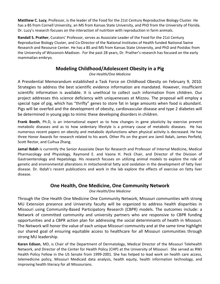**Matthew C. Lucy**, Professor, is the leader of the Food for the 21st Century Reproductive Biology Cluster. He has a BS from Cornell University, an MS from Kansas State University, and PhD from the University of Florida. Dr. Lucy's research focuses on the interaction of nutrition with reproduction in farm animals.

**Randall S. Prather**, Curators' Professor, serves as Associate Leader of the Food for the 21st Century Reproductive Biology Cluster, and Co‐Director of the National Institutes of Health funded National Swine Research and Resource Center. He has a BS and MS from Kansas State University, and PhD and Postdoc from the University of Wisconsin‐Madison. For the past 28 years, Dr. Prather's research has focused on the early mammalian embryo.

# **Modeling Childhood/Adolescent Obesity in a Pig**

*One Health/One Medicine*

A Presidential Memorandum established a Task Force on Childhood Obesity on February 9, 2010. Strategies to address the best scientific evidence information are mandated. However, insufficient scientific information is available. It is unethical to collect such information from children. Our project addresses this science deficiency with uniquenesses at Mizzou. The proposal will employ a special type of pig, which has "thrifty" genes to store fat in large amounts when food is abundant. Pigs will be overfed and the development of obesity, cardiovascular disease and type 2 diabetes will be determined in young pigs to mimic these developing disorders in children.

**Frank Booth**, Ph.D, is an international expert as to how changes in gene plasticity by exercise prevent metabolic diseases and as to how sedentary lifestyle is a primary cause of metabolic diseases. He has numerous recent papers on obesity and metabolic dysfunctions when physical activity is decreased. He has three Honor Awards for research related to his work. Other PIs on the grant are Jamil Ibdah, James Perfield, Scott Rector, and Cuihua Zhang.

**Jamal Ibdah** is currently the Senior Associate Dean for Research and Professor of Internal Medicine, Medical Pharmacology and Physiology, Raymond E. and Vaona H. Peck Chair, and Director of the Division of Gastroenterology and Hepatology. His research focuses on utilizing animal models to explore the role of genetic and environmental alterations in mitochondrial fatty acid oxidation in the development of fatty liver disease. Dr. Ibdah's recent publications and work in the lab explore the effects of exercise on fatty liver disease.

## **One Health, One Medicine, One Community Network**

*One Health/One Medicine*

Through the One Health One Medicine One Community Network, Missouri communities with strong MU Extension presence and University faculty will be organized to address health disparities in Missouri using Community‐Based Participatory Research (CBPR) models. The outcomes include: a Network of committed community and university partners who are responsive to CBPR funding opportunities and a CBPR action plan for addressing the social determinants of health in Missouri. The Network will honor the value of each unique Missouri community and at the same time highlight our shared goal of ensuring equitable access to healthcare for all Missouri communities through strong MU leadership.

**Karen Edison**, MD, is Chair of the Department of Dermatology, Medical Director of the Missouri Telehealth Network, and Director of the Center for Health Policy (CHP) at the University of Missouri. She served as RWJ Health Policy Fellow in the US Senate from 1999-2001. She has helped to lead work on health care access, telemedicine policy, Missouri Medicaid data analysis, health equity, health information technology, and improving health literacy for all Missourians.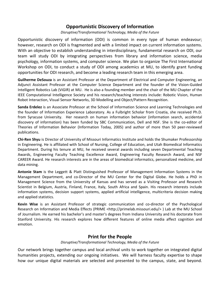#### **Opportunistic Discovery of Information**

*Disruptive/Transformational Technology, Media of the Future*

Opportunistic discovery of information (ODI) is common in every type of human endeavour; however, research on ODI is fragmented and with a limited impact on current information systems. With an objective to establish understanding in interdisciplinary, fundamental research on ODI, our team will study ODI by integrating perspectives from library and information science, media psychology, information systems, and computer science. We plan to organize The First International Workshop on ODI, to conduct a study of ODI among academics at MU, to identify grant funding opportunities for ODI research, and become a leading research team in this emerging area.

**Guilherme DeSouza** is an Assistant Professor at the Department of Electrical and Computer Engineering, an Adjunct Assistant Professor at the Computer Science Department and the founder of the Vision‐Guided Intelligent Robotics Lab (ViGIR) at MU. He is also a founding member and the chair of the MU Chapter of the IEEE Computational Intelligence Society and his research/teaching interests include: Robotic Vision, Human Robot Interaction, Visual Sensor Networks, 3D Modelling and Object/Pattern Recognition.

**Sanda Erdelez** is an Associate Professor at the School of Information Science and Learning Technologies and the founder of Information Experience Laboratory. As a Fulbright Scholar from Croatia, she received Ph.D. from Syracuse University. Her research on human information behavior (information search, accidental discovery of information) has been funded by SBC Communication, Dell and NSF. She is the co‐editor of Theories of Information Behavior (Information Today, 2005) and author of more than 50 peer‐reviewed publications.

**Chi‐Ren Shyu** is Director of University of Missouri Informatics Institute and holds the Shumaker Professorship in Engineering. He is affiliated with School of Nursing, College of Education, and Utah Biomedical Informatics Department. During his tenure at MU, he received several awards including seven Departmental Teaching Awards, Engineering Faculty Teaching Excellence Award, Engineering Faculty Research Award, and NSF CAREER Award. He research interests are in the areas of biomedical informatics, personalized medicine, and data mining.

**Antonie Stam** is the Leggett & Platt Distinguished Professor of Management Information Systems in the Management Department, and co‐Director of the MU Center for the Digital Globe. He holds a PhD in Management Science from the University of Kansas and has served as a Visiting Professor and Research Scientist in Belgium, Austria, Finland, France, Italy, South Africa and Spain. His research interests include information systems, decision support systems, applied artificial intelligence, multicriteria decision making and applied statistics.

**Kevin Wise** is an Assistant Professor of strategic communication and co-director of the Psychological Research on Information and Media Effects (PRIME <http://primelab.missouri.edu/>) Lab at the MU School of Journalism. He earned his bachelor's and master's degrees from Indiana University and his doctorate from Stanford University. His research explores how different features of online media affect cognition and emotion.

#### **Print for the People**

#### *Disruptive/Transformational Technology, Media of the Future*

Our network brings together campus and local archival units to work together on integrated digital humanities projects, extending our ongoing initiatives. We will harness faculty expertise to shape how our unique digital materials are selected and presented to the campus, state, and beyond.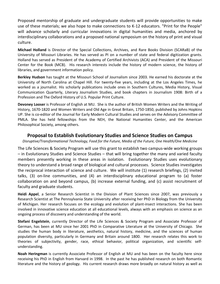Proposed mentorship of graduate and undergraduate students will provide opportunities to make use of these materials; we also hope to make connections to K‐12 educators. "Print for the People" will advance scholarly and curricular innovations in digital humanities and media, anchored by interdisciplinary collaborations and a proposed national symposium on the history of print and visual culture.

**Michael Holland** is Director of the Special Collections, Archives, and Rare Books Division (SCARaB) of the University of Missouri Libraries. He has served as PI on a number of state and federal digitization grants. Holland has served as President of the Academy of Certified Archivists (ACA) and President of the Missouri Center for the Book (MCB). His research interests include the history of modern science, the history of libraries, and government information policy.

**Berkley Hudson** has taught at the Missouri School of Journalism since 2003. He earned his doctorate at the University of North Carolina at Chapel Hill. For twenty‐five years, including at the Los Angeles Times, he worked as a journalist. His scholarly publications include ones in Southern Cultures, Media History, Visual Communication Quarterly, Literary Journalism Studies, and book chapters in Journalism 1908: Birth of a Profession and The Oxford History of U.S. Popular Print Culture.

**Devoney Looser** is Professor of English at MU. She is the author of British Women Writers and the Writing of History, 1670‐1820 and Women Writers and Old Age in Great Britain, 1750‐1850, published by Johns Hopkins UP. She is co‐editor of the Journal for Early Modern Cultural Studies and serves on the Advisory Committee of PMLA. She has held fellowships from the NEH, the National Humanities Center, and the American Philosophical Society, among others.

#### **Proposal to Establish Evolutionary Studies and Science Studies on Campus**

#### *Disruptive/Transformational Technology, Food for the Future, Media of the Future, One Health/One Medicine*

The Life Sciences & Society Program will use this grant to establish two campus‐wide working groups – in Evolutionary Studies and Science Studies – that will bring together the many and varied faculty members presently working in these areas in isolation. Evolutionary Studies uses evolutionary theory to understand a broad range of biological and cultural processes. Science Studies investigates the reciprocal interaction of science and culture. We will institute (1) research briefings, (2) invited talks, (3) on‐line communities, and (4) an interdisciplinary educational program to (a) foster collaboration on and beyond campus, (b) increase external funding, and (c) assist recruitment of faculty and graduate students.

**Heidi Appel**, a Senior Research Scientist in the Division of Plant Sciences since 2007, was previously a Research Scientist at The Pennsylvania State University after receiving her PhD in Biology from the University of Michigan. Her research focuses on the ecology and evolution of plant‐insect interactions. She has been involved in innovative science education at all educational levels, always with an emphasis on science as an ongoing process of discovery and understanding of the world.

**Stefani Engelstein**, currently Director of the Life Sciences & Society Program and Associate Professor of German, has been at MU since her 2001 PhD in Comparative Literature at the University of Chicago. She studies the human body in literature, aesthetics, natural history, medicine, and the sciences of human population diversity, particularly in Germany and Britain around 1800. Her research relates this work to theories of subjectivity, gender, race, ethical behavior, political organization, and scientific self‐ understanding.

**Noah Heringman** is currently Associate Professor of English at MU and has been on the faculty here since receiving his PhD in English from Harvard in 1998. In the past he has published research on both Romantic literature and the history of geology. His current research draws more broadly on natural history as well as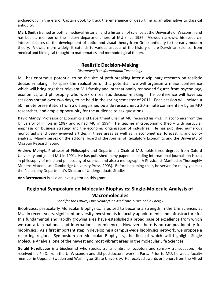archaeology in the era of Captain Cook to track the emergence of deep time as an alternative to classical antiquity.

**Mark Smith** trained as both a medieval historian and a historian of science at the University of Wisconsin and has been a member of the history department here at MU since 1986. Viewed narrowly, his researchinterest focuses on the development of optics and visual theory from Greek antiquity to the early modern theory. Viewed more widely, it extends to various aspects of the history of pre‐Darwinian science, from medical and biological thought to mathematics and methodological theory.

#### **Realistic Decision‐Making**

#### *Disruptive/Transformational Technology*

MU has enormous potential to be the site of path‐breaking inter‐disciplinary research on realistic decision-making. To spark the realization of this potential, we will organize a major conference which will bring together relevant MU faculty and internationally renowned figures from psychology, economics, and philosophy who work on realistic decision-making. The conference will have six sessions spread over two days, to be held in the spring semester of 2011. Each session will include a 50 minute presentation from a distinguished outside researcher, a 20 minute commentary by an MU researcher, and ample opportunity for the audience to ask questions.

**David Mandy**, Professor of Economics and Department Chair at MU, received his Ph.D. in economics from the University of Illinois in 1987 and joined MU in 1994. He teaches microeconomic theory with particular emphasis on business strategy and the economic organization of industries. He has published numerous monographs and peer‐reviewed articles in these areas as well as in econometrics, forecasting and policy analysis. Mandy serves on the editorial board of the Journal of Regulatory Economics and the University of Missouri Research Board.

**Andrew Melnyk**, Professor of Philosophy and Department Chair at MU, holds three degrees from Oxford University and joined MU in 1991. He has published many papers in leading international journals on issues in philosophy of mind and philosophy of science, and also a monograph, A Physicalist Manifesto: Thoroughly Modern Materialism (Cambridge University Press, 2003). Before becoming chair, he served for many years as the Philosophy Department's Director of Undergraduate Studies.

**Ann Bettencourt** is also an Investigator on this grant.

## **Regional Symposium on Molecular Biophysics: Single‐Molecule Analysis of Macromolecules**

#### *Food for the Future, One Health/One Medicine, Sustainable Energy*

Biophysics, particularly Molecular Biophysics, is poised to become a strength in the Life Sciences at MU. In recent years, significant university investments in faculty appointments and infrastructure for this fundamental and rapidly growing area have established a broad base of excellence from which we can attain national and international prominence. However, there is no campus identity for biophysics. As a first important step in developing a campus‐wide biophysics network, we propose a recurring regional Symposium on Molecular Biophysics, the first of which will highlight Single Molecule Analysis, one of the newest and most vibrant areas in the molecular Life Sciences.

**Gerald Hazelbauer** is a biochemist who studies transmembrane receptors and sensory transduction. He received his Ph.D. from the U. Wisconsin and did postdoctoral work in Paris. Prior to MU, he was a faculty member in Uppsala, Sweden and Washington State University. He received awards or honors from the Alfred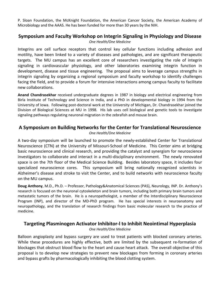P. Sloan Foundation, the McKnight Foundation, the American Cancer Society, the American Academy of Microbiology and the AAAS. He has been funded for more than 30 years by the NIH.

#### **Symposium and Faculty Workshop on Integrin Signaling in Physiology and Disease** *One Health/One Medicine*

Integrins are cell surface receptors that control key cellular functions including adhesion and motility, have been linked to a variety of diseases and pathologies, and are significant therapeutic targets. The MU campus has an excellent core of researchers investigating the role of integrin signaling in cardiovascular physiology, and other laboratories examining integrin function in development, disease and tissue engineering. The proposal aims to leverage campus strengths in integrin signaling by organizing a regional symposium and faculty workshop to identify challenges facing the field, and to provide a forum for intensive interactions among campus faculty to facilitate new collaborations.

**Anand Chandrasekhar** received undergraduate degrees in 1987 in biology and electrical engineering from Birla Institute of Technology and Science in India, and a PhD in developmental biology in 1994 from the University of Iowa. Following post‐doctoral work at the University of Michigan, Dr. Chandrasekhar joined the Division of Biological Sciences at MU in 1998. His lab uses cell biological and genetic tools to investigate signaling pathways regulating neuronal migration in the zebrafish and mouse brain.

#### **A Symposium on Building Networks for the Center for Translational Neuroscience**

#### *One Health/One Medicine*

A two‐day symposium will be launched to promote the newly‐established Center for Translational Neuroscience (CTN) at the University of Missouri‐School of Medicine. This Center aims at bridging basic neuroscience and clinical research, and providing the catalyst and synergism for neuroscience investigators to collaborate and interact in a multi-disciplinary environment. The newly renovated space is on the 7th floor of the Medical Science Building. Besides laboratory space, it includes four specialized neuroscience cores. This symposium will bring nationally recognized scientists in Alzheimer's disease and stroke to visit the Center, and to build networks with neuroscience faculty on the MU campus.

**Doug Anthony**, M.D., Ph.D. – Professor, Pathology&Anatomical Sciences (PAS), Neurology, INP. Dr. Anthony's research is focused on the neuronal cytoskeleton and brain tumors, including both primary brain tumors and metastatic tumors of the brain. He is a neuropathologist, a member of the Interdisciplinary Neuroscience Program (INP), and director of the MD-PhD program. He has special interests in neuroanatomy and neuropathology, and the translation of research findings from basic molecular research to the practice of medicine.

#### **Targeting Plasminogen Activator Inhibitor‐l to Inhibit Neointimal Hyperplasia**

*One Health/One Medicine*

Balloon angioplasty and bypass surgery are used to treat patients with blocked coronary arteries. While these procedures are highly effective, both are limited by the subsequent re-formation of blockages that obstruct blood flow to the heart and cause heart attack. The overall objective of this proposal is to develop new strategies to prevent new blockages from forming in coronary arteries and bypass grafts by pharmacologically inhibiting the blood clotting system.